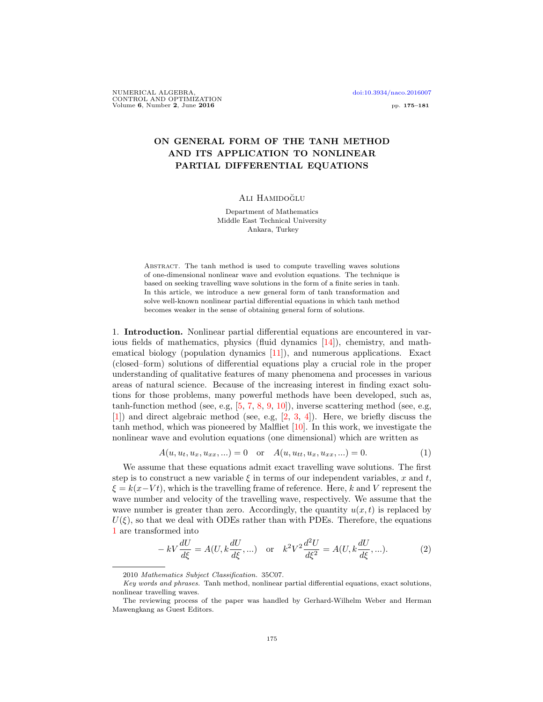NUMERICAL ALGEBRA, [doi:10.3934/naco.2016007](http://dx.doi.org/10.3934/naco.2016007) CONTROL AND OPTIMIZATION Volume 6, Number 2, June 2016 pp. 175–181

# ON GENERAL FORM OF THE TANH METHOD AND ITS APPLICATION TO NONLINEAR PARTIAL DIFFERENTIAL EQUATIONS

#### ALI HAMIDOĞLU

Department of Mathematics Middle East Technical University Ankara, Turkey

Abstract. The tanh method is used to compute travelling waves solutions of one-dimensional nonlinear wave and evolution equations. The technique is based on seeking travelling wave solutions in the form of a finite series in tanh. In this article, we introduce a new general form of tanh transformation and solve well-known nonlinear partial differential equations in which tanh method becomes weaker in the sense of obtaining general form of solutions.

1. Introduction. Nonlinear partial differential equations are encountered in various fields of mathematics, physics (fluid dynamics [\[14\]](#page-6-0)), chemistry, and mathematical biology (population dynamics [\[11\]](#page-6-1)), and numerous applications. Exact (closed–form) solutions of differential equations play a crucial role in the proper understanding of qualitative features of many phenomena and processes in various areas of natural science. Because of the increasing interest in finding exact solutions for those problems, many powerful methods have been developed, such as, tanh-function method (see, e.g, [\[5,](#page-6-2) [7,](#page-6-3) [8,](#page-6-4) [9,](#page-6-5) [10\]](#page-6-6)), inverse scattering method (see, e.g, [\[1\]](#page-6-7)) and direct algebraic method (see, e.g, [\[2,](#page-6-8) [3,](#page-6-9) [4\]](#page-6-10)). Here, we briefly discuss the tanh method, which was pioneered by Malfliet [\[10\]](#page-6-6). In this work, we investigate the nonlinear wave and evolution equations (one dimensional) which are written as

<span id="page-0-0"></span>
$$
A(u, u_t, u_x, u_{xx}, \ldots) = 0 \quad \text{or} \quad A(u, u_{tt}, u_x, u_{xx}, \ldots) = 0. \tag{1}
$$

We assume that these equations admit exact travelling wave solutions. The first step is to construct a new variable  $\xi$  in terms of our independent variables, x and t,  $\xi = k(x-Vt)$ , which is the travelling frame of reference. Here, k and V represent the wave number and velocity of the travelling wave, respectively. We assume that the wave number is greater than zero. Accordingly, the quantity  $u(x, t)$  is replaced by  $U(\xi)$ , so that we deal with ODEs rather than with PDEs. Therefore, the equations [1](#page-0-0) are transformed into

<span id="page-0-1"></span>
$$
- kV \frac{dU}{d\xi} = A(U, k \frac{dU}{d\xi}, \ldots) \quad \text{or} \quad k^2 V^2 \frac{d^2 U}{d\xi^2} = A(U, k \frac{dU}{d\xi}, \ldots). \tag{2}
$$

<sup>2010</sup> Mathematics Subject Classification. 35C07.

Key words and phrases. Tanh method, nonlinear partial differential equations, exact solutions, nonlinear travelling waves.

The reviewing process of the paper was handled by Gerhard-Wilhelm Weber and Herman Mawengkang as Guest Editors.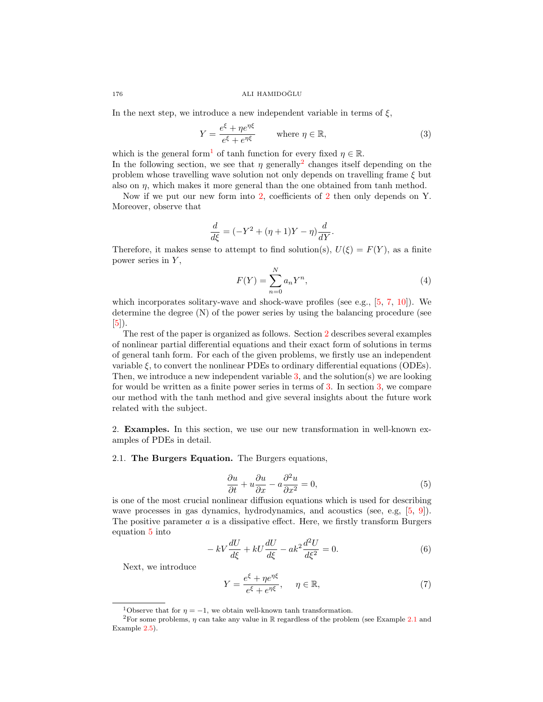176 ALI HAMIDOĞLU

In the next step, we introduce a new independent variable in terms of  $\xi$ ,

<span id="page-1-3"></span>
$$
Y = \frac{e^{\xi} + \eta e^{\eta \xi}}{e^{\xi} + e^{\eta \xi}} \qquad \text{where } \eta \in \mathbb{R},
$$
 (3)

which is the general form<sup>[1](#page-1-0)</sup> of tanh function for every fixed  $\eta \in \mathbb{R}$ . In the following section, we see that  $\eta$  generally<sup>[2](#page-1-1)</sup> changes itself depending on the problem whose travelling wave solution not only depends on travelling frame  $\xi$  but

also on  $\eta$ , which makes it more general than the one obtained from tanh method. Now if we put our new form into [2,](#page-0-1) coefficients of [2](#page-0-1) then only depends on Y.

Moreover, observe that

$$
\frac{d}{d\xi} = (-Y^2 + (\eta + 1)Y - \eta)\frac{d}{dY}.
$$

Therefore, it makes sense to attempt to find solution(s),  $U(\xi) = F(Y)$ , as a finite power series in  $Y$ ,

$$
F(Y) = \sum_{n=0}^{N} a_n Y^n,
$$
\n<sup>(4)</sup>

which incorporates solitary-wave and shock-wave profiles (see e.g.,  $[5, 7, 10]$  $[5, 7, 10]$  $[5, 7, 10]$  $[5, 7, 10]$  $[5, 7, 10]$ ). We determine the degree (N) of the power series by using the balancing procedure (see [\[5\]](#page-6-2)).

The rest of the paper is organized as follows. Section [2](#page-1-2) describes several examples of nonlinear partial differential equations and their exact form of solutions in terms of general tanh form. For each of the given problems, we firstly use an independent variable  $\xi$ , to convert the nonlinear PDEs to ordinary differential equations (ODEs). Then, we introduce a new independent variable [3,](#page-1-3) and the solution(s) we are looking for would be written as a finite power series in terms of [3.](#page-1-3) In section [3,](#page-5-0) we compare our method with the tanh method and give several insights about the future work related with the subject.

<span id="page-1-2"></span>2. Examples. In this section, we use our new transformation in well-known examples of PDEs in detail.

## <span id="page-1-5"></span>2.1. The Burgers Equation. The Burgers equations,

<span id="page-1-4"></span>
$$
\frac{\partial u}{\partial t} + u \frac{\partial u}{\partial x} - a \frac{\partial^2 u}{\partial x^2} = 0,
$$
\n(5)

is one of the most crucial nonlinear diffusion equations which is used for describing wave processes in gas dynamics, hydrodynamics, and acoustics (see, e.g, [\[5,](#page-6-2) [9\]](#page-6-5)). The positive parameter  $a$  is a dissipative effect. Here, we firstly transform Burgers equation [5](#page-1-4) into

$$
-kV\frac{dU}{d\xi} + kU\frac{dU}{d\xi} - ak^2\frac{d^2U}{d\xi^2} = 0.
$$
\n(6)

Next, we introduce

<span id="page-1-6"></span>
$$
Y = \frac{e^{\xi} + \eta e^{\eta \xi}}{e^{\xi} + e^{\eta \xi}}, \quad \eta \in \mathbb{R},
$$
\n(7)

<span id="page-1-1"></span><span id="page-1-0"></span><sup>&</sup>lt;sup>1</sup>Observe that for  $\eta = -1$ , we obtain well-known tanh transformation.

<sup>&</sup>lt;sup>2</sup>For some problems,  $\eta$  can take any value in  $\mathbb R$  regardless of the problem (see Example [2.1](#page-1-5) and Example [2.5\)](#page-5-1).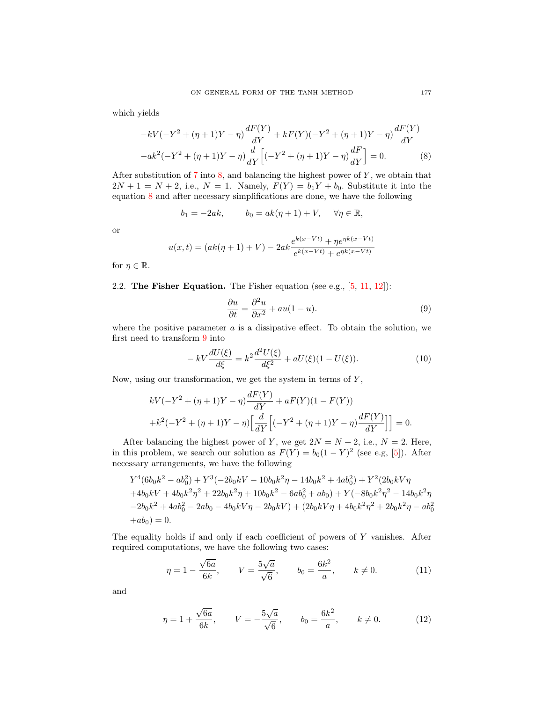which yields

<span id="page-2-0"></span>
$$
-kV(-Y^{2} + (\eta + 1)Y - \eta) \frac{dF(Y)}{dY} + kF(Y)(-Y^{2} + (\eta + 1)Y - \eta) \frac{dF(Y)}{dY}
$$

$$
-ak^{2}(-Y^{2} + (\eta + 1)Y - \eta) \frac{d}{dY} \Big[ (-Y^{2} + (\eta + 1)Y - \eta) \frac{dF}{dY} \Big] = 0.
$$
 (8)

After substitution of  $7 \text{ into } 8$  $7 \text{ into } 8$ , and balancing the highest power of Y, we obtain that  $2N + 1 = N + 2$ , i.e.,  $N = 1$ . Namely,  $F(Y) = b_1Y + b_0$ . Substitute it into the equation [8](#page-2-0) and after necessary simplifications are done, we have the following

$$
b_1 = -2ak, \qquad b_0 = ak(\eta + 1) + V, \quad \forall \eta \in \mathbb{R},
$$

or

$$
u(x,t) = (ak(\eta + 1) + V) - 2ak \frac{e^{k(x-Vt)} + \eta e^{\eta k(x-Vt)}}{e^{k(x-Vt)} + e^{\eta k(x-Vt)}}
$$

for  $\eta \in \mathbb{R}$ .

### 2.2. The Fisher Equation. The Fisher equation (see e.g.,  $[5, 11, 12]$  $[5, 11, 12]$  $[5, 11, 12]$  $[5, 11, 12]$  $[5, 11, 12]$ ):

<span id="page-2-1"></span>
$$
\frac{\partial u}{\partial t} = \frac{\partial^2 u}{\partial x^2} + au(1 - u). \tag{9}
$$

where the positive parameter  $a$  is a dissipative effect. To obtain the solution, we first need to transform [9](#page-2-1) into

$$
- kV \frac{dU(\xi)}{d\xi} = k^2 \frac{d^2 U(\xi)}{d\xi^2} + aU(\xi)(1 - U(\xi)).
$$
 (10)

Now, using our transformation, we get the system in terms of  $Y$ ,

$$
kV(-Y^{2} + (\eta + 1)Y - \eta) \frac{dF(Y)}{dY} + aF(Y)(1 - F(Y))
$$
  
+k<sup>2</sup>(-Y<sup>2</sup> + (\eta + 1)Y - \eta) \left[ \frac{d}{dY} \left[ (-Y^{2} + (\eta + 1)Y - \eta) \frac{dF(Y)}{dY} \right] \right] = 0.

After balancing the highest power of Y, we get  $2N = N + 2$ , i.e.,  $N = 2$ . Here, in this problem, we search our solution as  $F(Y) = b_0(1 - Y)^2$  (see e.g, [\[5\]](#page-6-2)). After necessary arrangements, we have the following

$$
Y^4(6b_0k^2 - ab_0^2) + Y^3(-2b_0kV - 10b_0k^2\eta - 14b_0k^2 + 4ab_0^2) + Y^2(2b_0kV\eta
$$
  
+4b\_0kV + 4b\_0k^2\eta^2 + 22b\_0k^2\eta + 10b\_0k^2 - 6ab\_0^2 + ab\_0) + Y(-8b\_0k^2\eta^2 - 14b\_0k^2\eta  
-2b\_0k^2 + 4ab\_0^2 - 2ab\_0 - 4b\_0kV\eta - 2b\_0kV) + (2b\_0kV\eta + 4b\_0k^2\eta^2 + 2b\_0k^2\eta - ab\_0^2  
+ab\_0) = 0.

The equality holds if and only if each coefficient of powers of Y vanishes. After required computations, we have the following two cases:

$$
\eta = 1 - \frac{\sqrt{6a}}{6k}, \qquad V = \frac{5\sqrt{a}}{\sqrt{6}}, \qquad b_0 = \frac{6k^2}{a}, \qquad k \neq 0.
$$
\n(11)

and

$$
\eta = 1 + \frac{\sqrt{6a}}{6k}, \qquad V = -\frac{5\sqrt{a}}{\sqrt{6}}, \qquad b_0 = \frac{6k^2}{a}, \qquad k \neq 0.
$$
\n(12)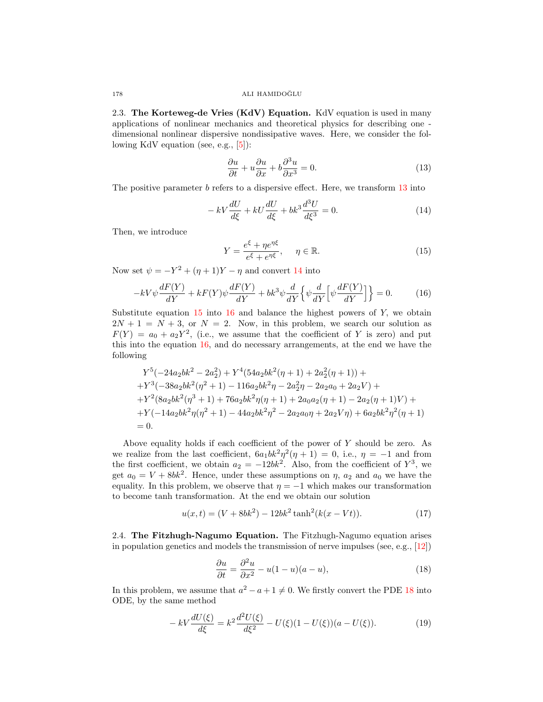2.3. The Korteweg-de Vries  $(KdV)$  Equation. KdV equation is used in many applications of nonlinear mechanics and theoretical physics for describing one dimensional nonlinear dispersive nondissipative waves. Here, we consider the following KdV equation (see, e.g., [\[5\]](#page-6-2)):

<span id="page-3-0"></span>
$$
\frac{\partial u}{\partial t} + u \frac{\partial u}{\partial x} + b \frac{\partial^3 u}{\partial x^3} = 0.
$$
 (13)

The positive parameter  $b$  refers to a dispersive effect. Here, we transform  $13$  into

<span id="page-3-1"></span>
$$
-kV\frac{dU}{d\xi} + kU\frac{dU}{d\xi} + bk^3\frac{d^3U}{d\xi^3} = 0.
$$
\n(14)

Then, we introduce

<span id="page-3-2"></span>
$$
Y = \frac{e^{\xi} + \eta e^{\eta \xi}}{e^{\xi} + e^{\eta \xi}}, \quad \eta \in \mathbb{R}.
$$
 (15)

Now set  $\psi = -Y^2 + (\eta + 1)Y - \eta$  and convert [14](#page-3-1) into

<span id="page-3-3"></span>
$$
-kV\psi \frac{dF(Y)}{dY} + kF(Y)\psi \frac{dF(Y)}{dY} + bk^3\psi \frac{d}{dY} \left\{\psi \frac{d}{dY} \left[\psi \frac{dF(Y)}{dY}\right]\right\} = 0.
$$
 (16)

Substitute equation  $15$  into  $16$  and balance the highest powers of Y, we obtain  $2N + 1 = N + 3$ , or  $N = 2$ . Now, in this problem, we search our solution as  $F(Y) = a_0 + a_2 Y^2$ , (i.e., we assume that the coefficient of Y is zero) and put this into the equation [16,](#page-3-3) and do necessary arrangements, at the end we have the following

$$
Y^5(-24a_2bk^2 - 2a_2^2) + Y^4(54a_2bk^2(\eta + 1) + 2a_2^2(\eta + 1)) +
$$
  
+
$$
Y^3(-38a_2bk^2(\eta^2 + 1) - 116a_2bk^2\eta - 2a_2^2\eta - 2a_2a_0 + 2a_2V) +
$$
  
+
$$
Y^2(8a_2bk^2(\eta^3 + 1) + 76a_2bk^2\eta(\eta + 1) + 2a_0a_2(\eta + 1) - 2a_2(\eta + 1)V) +
$$
  
+
$$
Y(-14a_2bk^2\eta(\eta^2 + 1) - 44a_2bk^2\eta^2 - 2a_2a_0\eta + 2a_2V\eta) + 6a_2bk^2\eta^2(\eta + 1)
$$
  
= 0.

Above equality holds if each coefficient of the power of  $Y$  should be zero. As we realize from the last coefficient,  $6a_1bk^2\eta^2(\eta+1) = 0$ , i.e.,  $\eta = -1$  and from the first coefficient, we obtain  $a_2 = -12bk^2$ . Also, from the coefficient of  $Y^3$ , we get  $a_0 = V + 8bk^2$ . Hence, under these assumptions on  $\eta$ ,  $a_2$  and  $a_0$  we have the equality. In this problem, we observe that  $\eta = -1$  which makes our transformation to become tanh transformation. At the end we obtain our solution

$$
u(x,t) = (V + 8bk^2) - 12bk^2 \tanh^2(k(x - Vt)).
$$
\n(17)

2.4. The Fitzhugh-Nagumo Equation. The Fitzhugh-Nagumo equation arises in population genetics and models the transmission of nerve impulses (see, e.g., [\[12\]](#page-6-11))

<span id="page-3-4"></span>
$$
\frac{\partial u}{\partial t} = \frac{\partial^2 u}{\partial x^2} - u(1 - u)(a - u),\tag{18}
$$

In this problem, we assume that  $a^2 - a + 1 \neq 0$ . We firstly convert the PDE [18](#page-3-4) into ODE, by the same method

$$
- kV \frac{dU(\xi)}{d\xi} = k^2 \frac{d^2 U(\xi)}{d\xi^2} - U(\xi)(1 - U(\xi))(a - U(\xi)).
$$
 (19)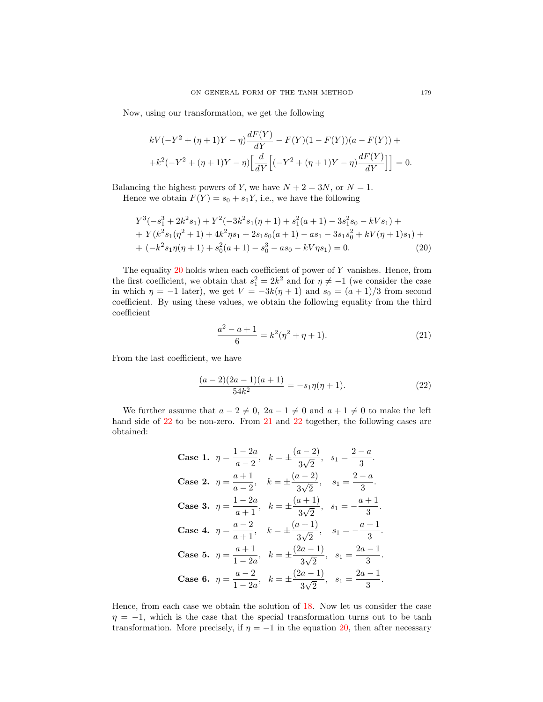Now, using our transformation, we get the following

$$
kV(-Y^{2} + (\eta + 1)Y - \eta) \frac{dF(Y)}{dY} - F(Y)(1 - F(Y))(a - F(Y)) +
$$
  
+ $k^{2}(-Y^{2} + (\eta + 1)Y - \eta) \left[ \frac{d}{dY} \left[ (-Y^{2} + (\eta + 1)Y - \eta) \frac{dF(Y)}{dY} \right] \right] = 0.$ 

Balancing the highest powers of Y, we have  $N + 2 = 3N$ , or  $N = 1$ . Hence we obtain  $F(Y) = s_0 + s_1 Y$ , i.e., we have the following

<span id="page-4-0"></span>
$$
Y^3(-s_1^3 + 2k^2s_1) + Y^2(-3k^2s_1(\eta + 1) + s_1^2(a+1) - 3s_1^2s_0 - kVs_1) +
$$
  
+ 
$$
Y(k^2s_1(\eta^2 + 1) + 4k^2\eta s_1 + 2s_1s_0(a+1) - as_1 - 3s_1s_0^2 + kV(\eta + 1)s_1) +
$$
  
+ 
$$
(-k^2s_1\eta(\eta + 1) + s_0^2(a+1) - s_0^3 - as_0 - kV\eta s_1) = 0.
$$
 (20)

The equality  $20$  holds when each coefficient of power of Y vanishes. Hence, from the first coefficient, we obtain that  $s_1^2 = 2k^2$  and for  $\eta \neq -1$  (we consider the case in which  $\eta = -1$  later), we get  $V = -3k(\eta + 1)$  and  $s_0 = (a + 1)/3$  from second coefficient. By using these values, we obtain the following equality from the third coefficient

<span id="page-4-2"></span>
$$
\frac{a^2 - a + 1}{6} = k^2(\eta^2 + \eta + 1).
$$
 (21)

From the last coefficient, we have

<span id="page-4-1"></span>
$$
\frac{(a-2)(2a-1)(a+1)}{54k^2} = -s_1\eta(\eta+1). \tag{22}
$$

We further assume that  $a - 2 \neq 0$ ,  $2a - 1 \neq 0$  and  $a + 1 \neq 0$  to make the left hand side of [22](#page-4-1) to be non-zero. From [21](#page-4-2) and 22 together, the following cases are obtained:

> Case 1.  $\eta = \frac{1-2a}{2}$  $\frac{1-2a}{a-2}, \quad k = \pm \frac{(a-2)}{3\sqrt{2}}$ 3 √  $\frac{2}{2}$ ,  $s_1 = \frac{2-a}{3}$  $\frac{a}{3}$ . Case 2.  $\eta = \frac{a+1}{2}$  $\frac{a+1}{a-2}$ ,  $k = \pm \frac{(a-2)}{3\sqrt{2}}$ 3 √  $\frac{2}{2}$ ,  $s_1 = \frac{2-a}{3}$  $\frac{a}{3}$ . **Case 3.**  $\eta = \frac{1-2a}{1}$  $\frac{1-2a}{a+1}, \quad k = \pm \frac{(a+1)}{3\sqrt{2}}$ 3 √  $\frac{1}{2}$ ,  $s_1 = -\frac{a+1}{3}$  $\frac{1}{3}$ . Case 4.  $\eta = \frac{a-2}{a}$  $\frac{a-2}{a+1}$ ,  $k = \pm \frac{(a+1)}{3\sqrt{2}}$ 3 √  $\frac{1}{2}$ ,  $s_1 = -\frac{a+1}{3}$  $\frac{1}{3}$ . Case 5.  $\eta = \frac{a+1}{1-a}$  $\frac{a+1}{1-2a}, \quad k = \pm \frac{(2a-1)}{3\sqrt{2}}$ 3 √  $\frac{(n-1)}{2}$ ,  $s_1 = \frac{2a-1}{3}$  $\frac{1}{3}$ . Case 6.  $\eta = \frac{a-2}{1-a}$  $\frac{a-2}{1-2a}, \quad k = \pm \frac{(2a-1)}{3\sqrt{2}}$ 3 √  $\frac{(n-1)}{2}$ ,  $s_1 = \frac{2a-1}{3}$  $\frac{1}{3}$ .

Hence, from each case we obtain the solution of [18.](#page-3-4) Now let us consider the case  $\eta = -1$ , which is the case that the special transformation turns out to be tanh transformation. More precisely, if  $\eta = -1$  in the equation [20,](#page-4-0) then after necessary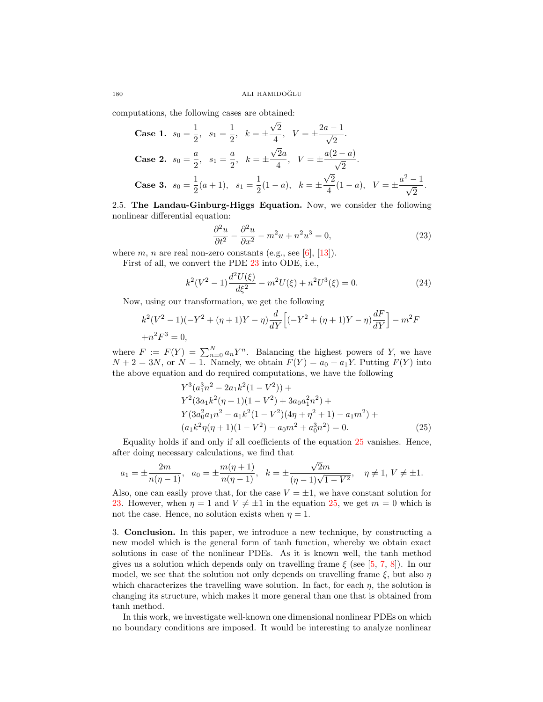computations, the following cases are obtained: √

Case 1. 
$$
s_0 = \frac{1}{2}
$$
,  $s_1 = \frac{1}{2}$ ,  $k = \pm \frac{\sqrt{2}}{4}$ ,  $V = \pm \frac{2a - 1}{\sqrt{2}}$ .  
\nCase 2.  $s_0 = \frac{a}{2}$ ,  $s_1 = \frac{a}{2}$ ,  $k = \pm \frac{\sqrt{2}a}{4}$ ,  $V = \pm \frac{a(2 - a)}{\sqrt{2}}$ .  
\nCase 3.  $s_0 = \frac{1}{2}(a + 1)$ ,  $s_1 = \frac{1}{2}(1 - a)$ ,  $k = \pm \frac{\sqrt{2}}{4}(1 - a)$ ,  $V = \pm \frac{a^2 - 1}{\sqrt{2}}$ .

<span id="page-5-1"></span>2.5. The Landau-Ginburg-Higgs Equation. Now, we consider the following nonlinear differential equation:

<span id="page-5-2"></span>
$$
\frac{\partial^2 u}{\partial t^2} - \frac{\partial^2 u}{\partial x^2} - m^2 u + n^2 u^3 = 0,
$$
\n(23)

where  $m$ ,  $n$  are real non-zero constants (e.g., see [\[6\]](#page-6-12), [\[13\]](#page-6-13)).

First of all, we convert the PDE [23](#page-5-2) into ODE, i.e.,

$$
k^{2}(V^{2}-1)\frac{d^{2}U(\xi)}{d\xi^{2}} - m^{2}U(\xi) + n^{2}U^{3}(\xi) = 0.
$$
 (24)

Now, using our transformation, we get the following

$$
k^{2}(V^{2}-1)(-Y^{2}+(\eta+1)Y-\eta)\frac{d}{dY}\left[(-Y^{2}+(\eta+1)Y-\eta)\frac{dF}{dY}\right]-m^{2}F
$$
  
+ $n^{2}F^{3}=0,$ 

where  $F := F(Y) = \sum_{n=0}^{N} a_n Y^n$ . Balancing the highest powers of Y, we have  $N + 2 = 3N$ , or  $N = 1$ . Namely, we obtain  $F(Y) = a_0 + a_1Y$ . Putting  $F(Y)$  into the above equation and do required computations, we have the following

<span id="page-5-3"></span>
$$
Y^3(a_1^3n^2 - 2a_1k^2(1 - V^2)) +
$$
  
\n
$$
Y^2(3a_1k^2(\eta + 1)(1 - V^2) + 3a_0a_1^2n^2) +
$$
  
\n
$$
Y(3a_0^2a_1n^2 - a_1k^2(1 - V^2)(4\eta + \eta^2 + 1) - a_1m^2) +
$$
  
\n
$$
(a_1k^2\eta(\eta + 1)(1 - V^2) - a_0m^2 + a_0^3n^2) = 0.
$$
\n(25)

Equality holds if and only if all coefficients of the equation [25](#page-5-3) vanishes. Hence, after doing necessary calculations, we find that

$$
a_1 = \pm \frac{2m}{n(\eta - 1)}, \quad a_0 = \pm \frac{m(\eta + 1)}{n(\eta - 1)}, \quad k = \pm \frac{\sqrt{2}m}{(\eta - 1)\sqrt{1 - V^2}}, \quad \eta \neq 1, V \neq \pm 1.
$$

Also, one can easily prove that, for the case  $V = \pm 1$ , we have constant solution for [23.](#page-5-2) However, when  $\eta = 1$  and  $V \neq \pm 1$  in the equation [25,](#page-5-3) we get  $m = 0$  which is not the case. Hence, no solution exists when  $\eta = 1$ .

<span id="page-5-0"></span>3. Conclusion. In this paper, we introduce a new technique, by constructing a new model which is the general form of tanh function, whereby we obtain exact solutions in case of the nonlinear PDEs. As it is known well, the tanh method gives us a solution which depends only on travelling frame  $\xi$  (see [\[5,](#page-6-2) [7,](#page-6-3) [8\]](#page-6-4)). In our model, we see that the solution not only depends on travelling frame  $\xi$ , but also  $\eta$ which characterizes the travelling wave solution. In fact, for each  $\eta$ , the solution is changing its structure, which makes it more general than one that is obtained from tanh method.

In this work, we investigate well-known one dimensional nonlinear PDEs on which no boundary conditions are imposed. It would be interesting to analyze nonlinear